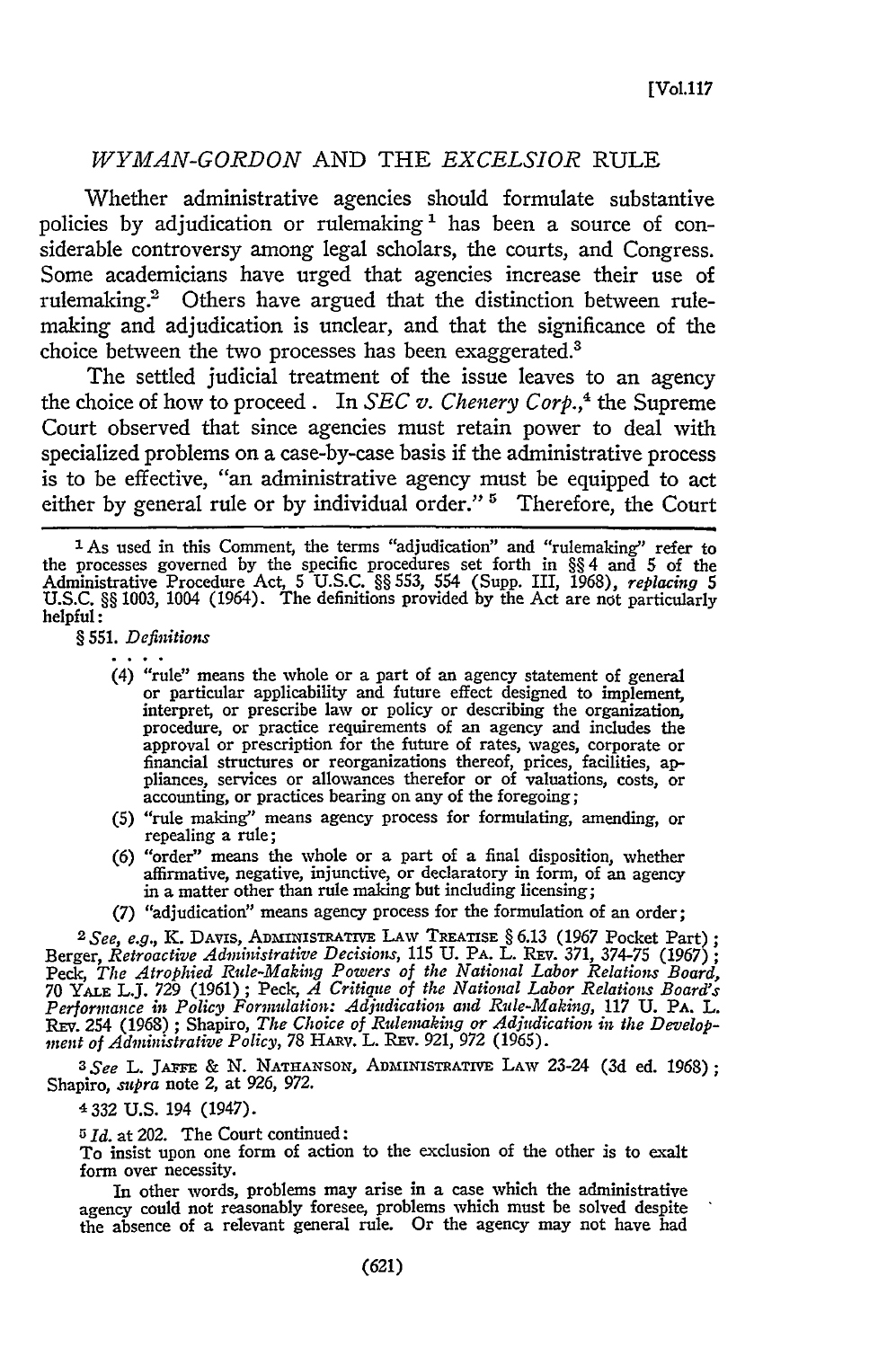# *WYMAN-GORDON* **AND** THE *EXCELSIOR* RULE

Whether administrative agencies should formulate substantive policies by adjudication or rulemaking<sup>1</sup> has been a source of considerable controversy among legal scholars, the courts, and Congress. Some academicians have urged that agencies increase their use of rulemaking.<sup>2</sup> Others have argued that the distinction between rulemaking and adjudication is unclear, and that the significance of the choice between the two processes has been exaggerated.<sup>3</sup>

The settled judicial treatment of the issue leaves to an agency the choice of how to proceed. In *SEC v. Chenery Corp.*,<sup>4</sup> the Supreme Court observed that since agencies must retain power to deal with specialized problems on a case-by-case basis if the administrative process is to be effective, "an administrative agency must be equipped to act either by general rule or by individual order." **'** Therefore, the Court

§ 551. *Definitions*

- (4) "rule" means the whole or a part of an agency statement of general or particular applicability and future effect designed to implement, interpret, or prescribe law or policy or describing the organization, procedure, or practice requirements of an agency and includes the approval or prescription for the future of rates, wages, corporate or financial structures or reorganizations thereof, prices, facilities, ap-pliances, services or allowances therefor or of valuations, costs, or accounting, or practices bearing on any of the foregoing;
- (5) "rule making" means agency process for formulating, amending, or repealing a rule;
- (6) "order" means the whole or a part of a final disposition, whether affirmative, negative, injunctive, or declaratory in form, of an agency in a matter other than rule making but including licensing;
- (7) "adjudication" means agency process for the formulation of an order;

*2 See, e.g., K.* DAVIs, ADMINISRATIVE LAW TREATiSE § 6.13 (1967 Pocket Part) **;** Berger, *Retroactive Administrative Decisions,* 115 U. PA. L. REv. 371, 374-75 (1967) *;* Peck, *The Atrophied Rule-Making Powers of the National Labor Relations Board,* 70 YALE L.J. **729** (1961) **;** Peck, *A Critique of the National Labor Relations Board's Performance in Policy Formulation: Adjudication and Rule-Making,* 117 **U.** PA. L. REV. 254 (1968); Shapiro, *The Choice of Rulemaking or Adjudication in the Developnent of Administrative Policy,* 78 HRV. L. REv. 921, *972* (1965).

*3 See* L. **JASFE** & **N. NATHANSON,** ADMINISTRATIVE LAW 23-24 **(3d** ed. 1968); Shapiro, *supra* note 2, at 926, *972.*

4 332 U.S. 194 (1947).

*<sup>5</sup> Id.* at 202. The Court continued:

To insist upon one form of action to the exclusion of the other is to exalt form over necessity.

In other words, problems may arise in a case which the administrative agency could not reasonably foresee, problems which must be solved despite the absence of a relevant general rule. Or the agency may not have had

<sup>&</sup>lt;sup>1</sup> As used in this Comment, the terms "adjudication" and "rulemaking" refer to the processes governed by the specific procedures set forth in §§ 4 and **5** of the Administrative Procedure Act, **5** U.S.C. §§ 553, 554 (Supp. III, 1968), *replacing 5* U.S.C. §§ 1003, 1004 (1964). The definitions provided by the Act are not particularly helpful: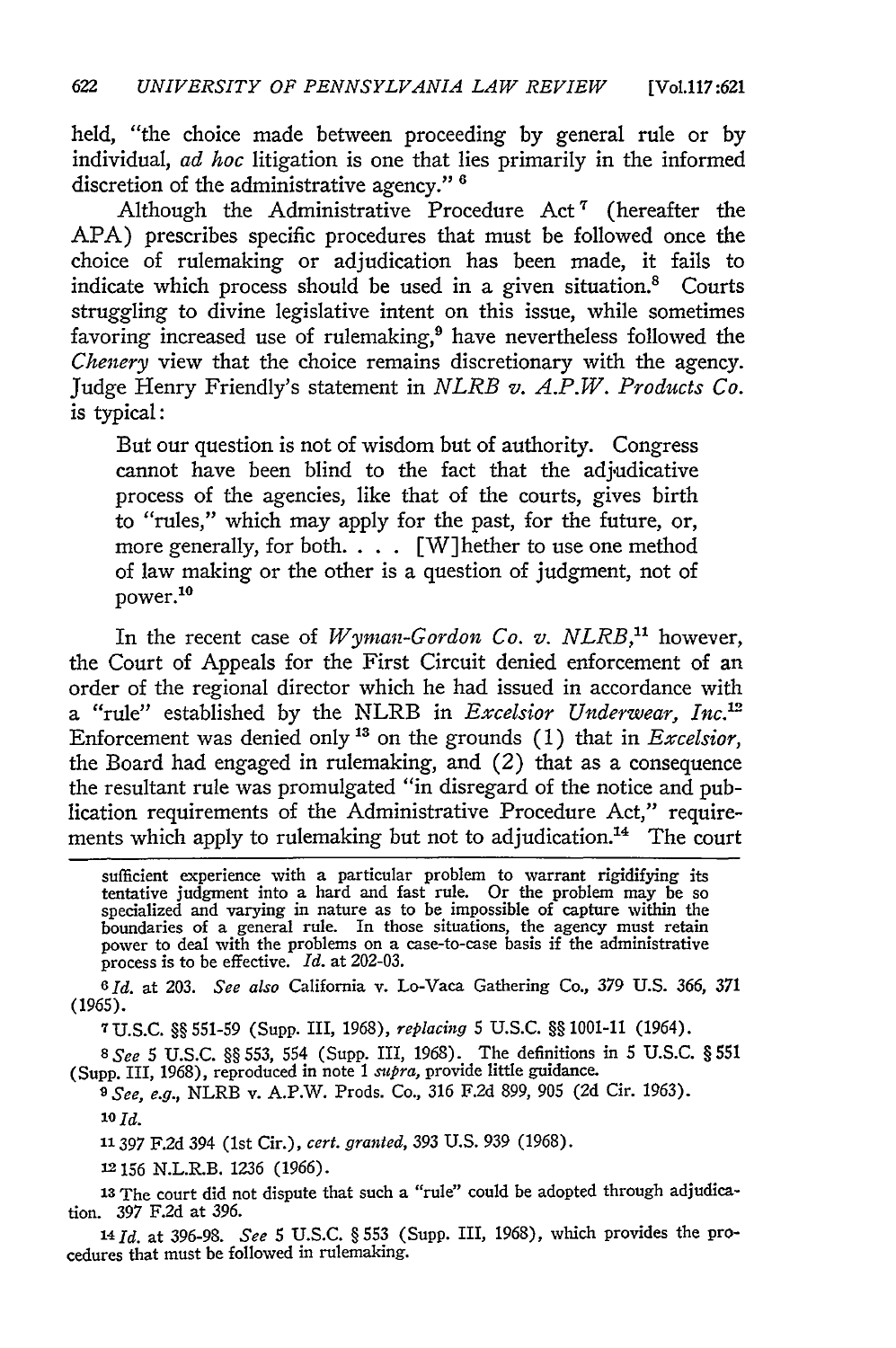held, "the choice made between proceeding by general rule or by individual, *ad hoc* litigation is one that lies primarily in the informed discretion of the administrative agency." **<sup>6</sup>**

Although the Administrative Procedure Act' (hereafter the APA) prescribes specific procedures that must be followed once the choice of rulemaking or adjudication has been made, it fails to indicate which process should be used in a given situation.<sup>8</sup> Courts struggling to divine legislative intent on this issue, while sometimes favoring increased use of rulemaking, $9$  have nevertheless followed the *Chenery* view that the choice remains discretionary with the agency. Judge Henry Friendly's statement in *NLRB v. A.P.W. Products Co.* is typical:

But our question is not of wisdom but of authority. Congress cannot have been blind to the fact that the adjudicative process of the agencies, like that of the courts, gives birth to "rules," which may apply for the past, for the future, or, more generally, for both. . **..** [W]hether to use one method of law making or the other is a question of judgment, not of  $power.<sup>10</sup>$ 

In the recent case of *Wyman-Gordon Co. v. NLRB,"* however, the Court of Appeals for the First Circuit denied enforcement of an order of the regional director which he had issued in accordance with a "rule" established by the NLRB in *Excelsior Underwear, Inc.'* Enforcement was denied only" on the grounds (1) that in *Excelsior,* the Board had engaged in rulemaking, and (2) that as a consequence the resultant rule was promulgated "in disregard of the notice and publication requirements of the Administrative Procedure Act," requirements which apply to rulemaking but not to adjudication.<sup>14</sup> The court

sufficient experience with a particular problem to warrant rigidifying its tentative judgment into a hard and fast rule. Or the problem may be so specialized and varying in nature as to be impossible of capture within the boundaries of a general rule. In those situations, the agency must retain power to deal with the problems on a case-to-case basis if the administrative process is to be effective. *Id.* at 202-03.

*6Id.* at 203. *See also* California v. Lo-Vaca Gathering Co., 379 U.S. 366, *371* (1965).

7U.S.C. §§ 551-59 (Supp. III, 1968), *replacing* 5 U.S.C. §§ 1001-11 (1964).

*8 See* 5 U.S.C. §§ 553, 554 (Supp. III, 1968). The definitions in 5 U.S.C. § 551 (Supp. III, 1968), reproduced in note 1 *supra,* provide little guidance.

*9 See, e.g.,* NLRB v. A.P.W. Prods. Co., 316 F.2d 899, 905 (2d Cir. 1963). **10Id.**

**11397** F.2d 394 (1st Cir.), *cert. granted,* 393 U.S. 939 (1968).

**12156** N.L.R.B. 1236 (1966).

**13The** court did not dispute that such a "rule" could be adopted through adjudication. 397 F.2d at 396.

*14Id.* at 396-98. *See* 5 U.S.C. § 553 (Supp. III, 1968), which provides the procedures that must be followed in rulemaking.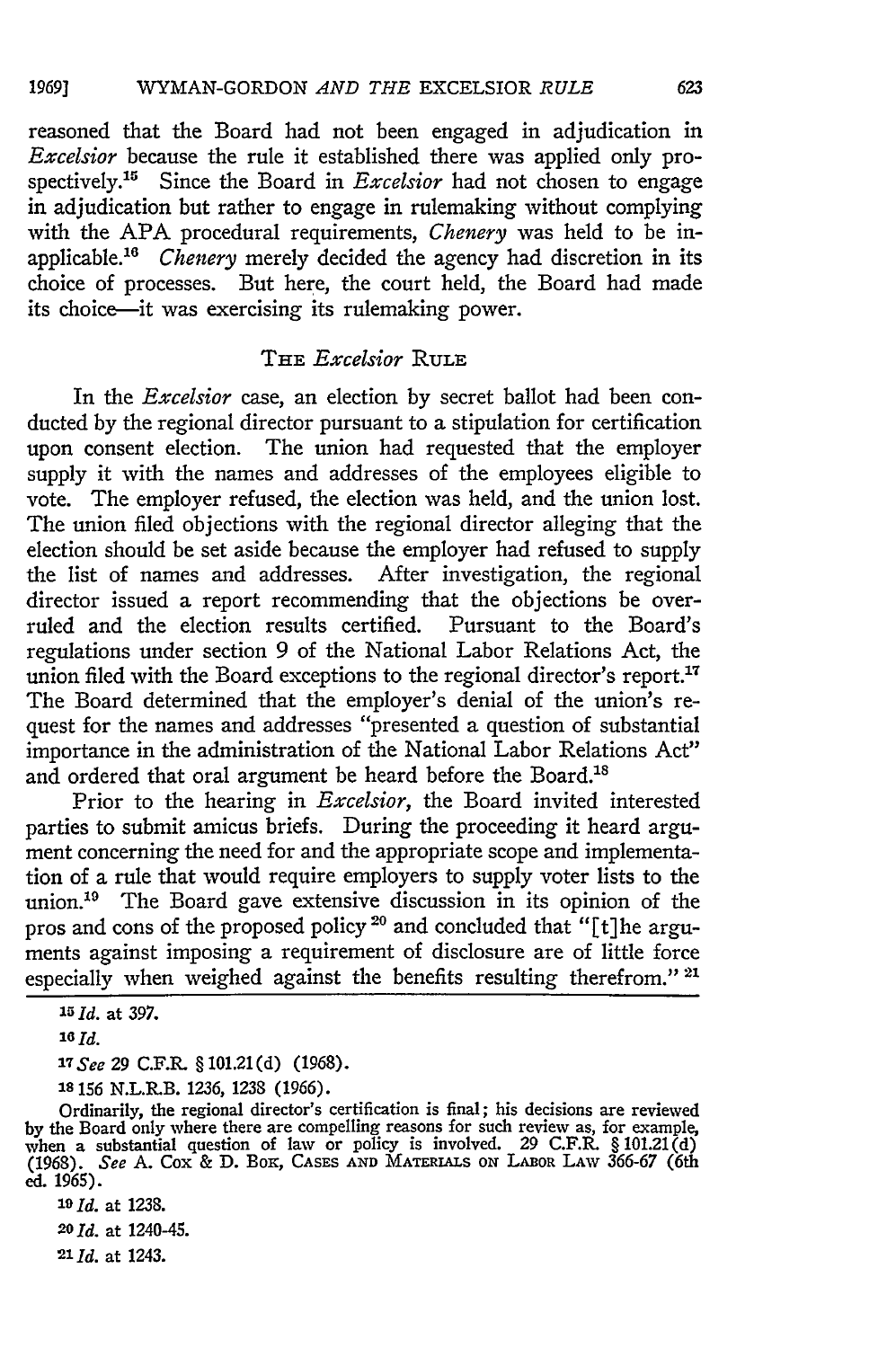reasoned that the Board had not been engaged in adjudication in *Excelsior* because the rule it established there was applied only prospectively.<sup>15</sup> Since the Board in *Excelsior* had not chosen to engage in adjudication but rather to engage in rulemaking without complying with the APA procedural requirements, *Chenery* was held to be inapplicable.<sup>16</sup> *Chenery* merely decided the agency had discretion in its choice of processes. But here, the court held, the Board had made its choice-it was exercising its rulemaking power.

# THE *Excelsior* RULE

In the *Excelsior* case, an election by secret ballot had been conducted by the regional director pursuant to a stipulation for certification upon consent election. The union had requested that the employer supply it with the names and addresses of the employees eligible to vote. The employer refused, the election was held, and the union lost. The union filed objections with the regional director alleging that the election should be set aside because the employer had refused to supply the list of names and addresses. After investigation, the regional director issued a report recommending that the objections be overruled and the election results certified. Pursuant to the Board's regulations under section 9 of the National Labor Relations Act, the union filed with the Board exceptions to the regional director's report.<sup>17</sup> The Board determined that the employer's denial of the union's request for the names and addresses "presented a question of substantial importance in the administration of the National Labor Relations Act" and ordered that oral argument be heard before the Board.<sup>18</sup>

Prior to the hearing in *Excelsior,* the Board invited interested parties to submit amicus briefs. During the proceeding it heard argument concerning the need for and the appropriate scope and implementation of a rule that would require employers to supply voter lists to the union.<sup>19</sup> The Board gave extensive discussion in its opinion of the pros and cons of the proposed policy <sup>20</sup> and concluded that "[t] he arguments against imposing a requirement of disclosure are of little force especially when weighed against the benefits resulting therefrom." **21**

*17See 29* **C.F.R.** § 101.21(d) **(1968).**

*'s* **156** N.L.R.B. **1236, 1238 (1966).**

Ordinarily, the regional director's certification is final; his decisions are reviewed by the Board only where there are compelling reasons for such review as, for example, when a substantial question of law or policy is involved. 29 C.F.R. § 101.21(d) (1968). *See* **A.** Cox **& D.** Box, **CASES AND MATERIALS ON LABOR LAW** 366-67 (6th **ed. 1965).**

**20** *Id.* at 1240-45.

21 **d.** at 1243.

**<sup>15</sup>***Id.* at **397.**

*<sup>16</sup> Id.*

*<sup>19</sup>Id.* at 1238.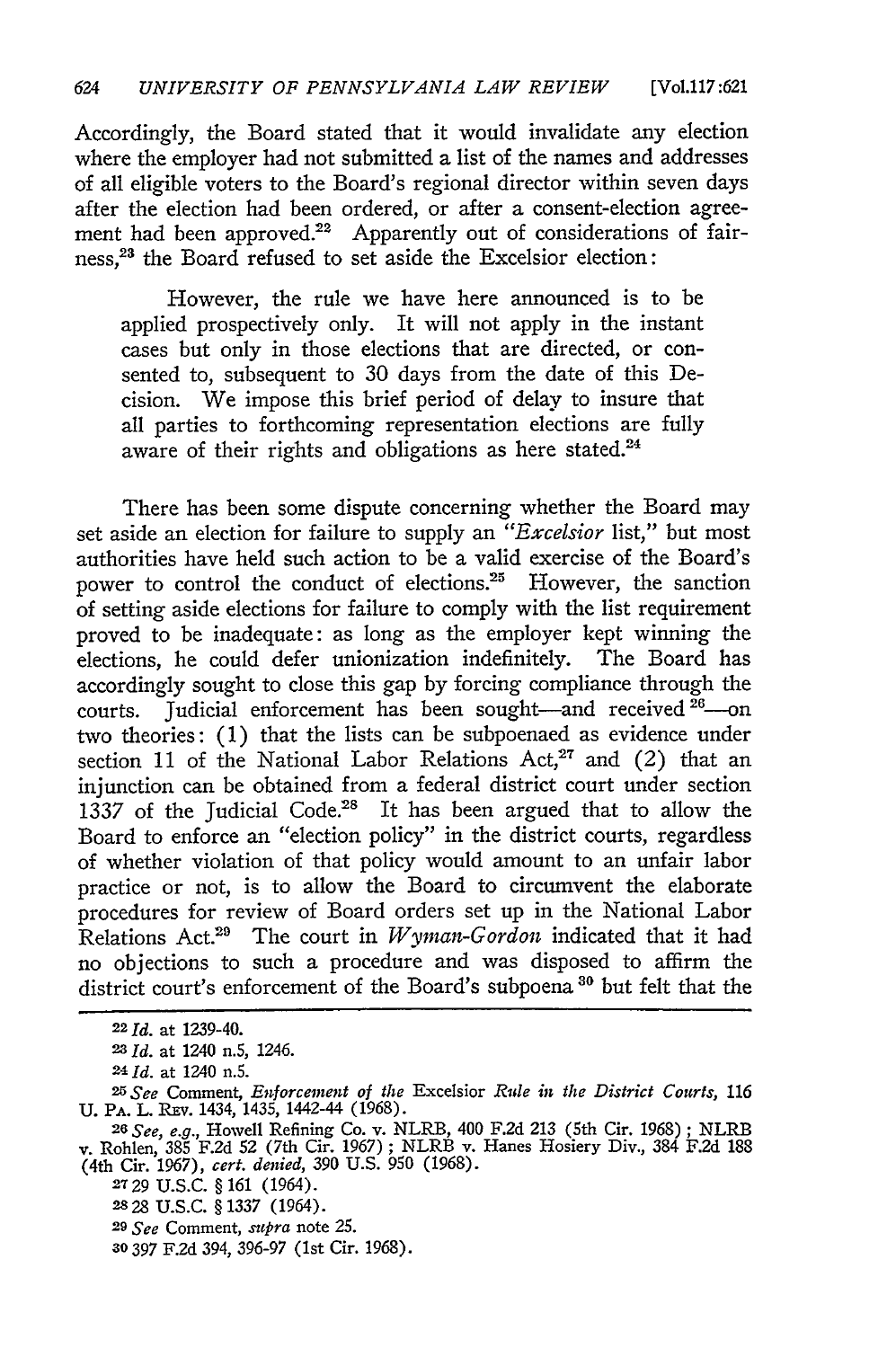Accordingly, the Board stated that it would invalidate any election where the employer had not submitted a list of the names and addresses of all eligible voters to the Board's regional director within seven days after the election had been ordered, or after a consent-election agreement had been approved.<sup>22</sup> Apparently out of considerations of fairness,<sup>23</sup> the Board refused to set aside the Excelsior election:

However, the rule we have here announced is to be applied prospectively only. It will not apply in the instant cases but only in those elections that are directed, or consented to, subsequent to 30 days from the date of this Decision. We impose this brief period of delay to insure that all parties to forthcoming representation elections are fully aware of their rights and obligations as here stated.<sup>24</sup>

There has been some dispute concerning whether the Board may set aside an election for failure to supply an *"Excelsior* list," but most authorities have held such action to be a valid exercise of the Board's power to control the conduct of elections.<sup>25</sup> However, the sanction of setting aside elections for failure to comply with the list requirement proved to be inadequate: as long as the employer kept winning the elections, he could defer unionization indefinitely. The Board has accordingly sought to close this gap by forcing compliance through the courts. Judicial enforcement has been sought-and received <sup>26</sup>-or two theories: (1) that the lists can be subpoenaed as evidence under section 11 of the National Labor Relations Act,<sup>27</sup> and (2) that an injunction can be obtained from a federal district court under section 1337 of the Judicial Code.<sup>28</sup> It has been argued that to allow the Board to enforce an "election policy" in the district courts, regardless of whether violation of that policy would amount to an unfair labor practice or not, is to allow the Board to circumvent the elaborate procedures for review of Board orders set up in the National Labor Relations Act.<sup>29</sup> The court in *Wyman-Gordon* indicated that it had no objections to such a procedure and was disposed to affirm the district court's enforcement of the Board's subpoena **80** but felt that the

*<sup>221</sup>d.* at 1239-40.

*<sup>23</sup>Id.* at 1240 n.5, 1246.

<sup>24</sup> *Id.* at 1240 n.5.

*<sup>25</sup>See* Comment, *Enforcement of the* Excelsior *Ride in the District Courts, <sup>116</sup>* U. PA. L. Rsv. 1434, 1435, 1442-44 (1968). *<sup>26</sup> See, e.g.,* Howell Refining Co. v. NLRB, 400 F.2d 213 (5th Cir. 1968) ; NLRB

v. Rohlen, 385 F.2d 52 (7th Cir. 1967); NLRB v. Hanes Hosiery Div., 384 F.2d 188 (4th Cir. 1967), *cert. denied,* 390 U.S. **950** (1968).

**<sup>2729</sup>** U.S.C. § 161 (1964).

**<sup>2828</sup>** U.S.C. § 1337 (1964).

*<sup>29</sup> See* Comment, *supra* note **25.**

*<sup>30</sup>* **397** F.2d 394, 396-97 (1st Cir. 1968).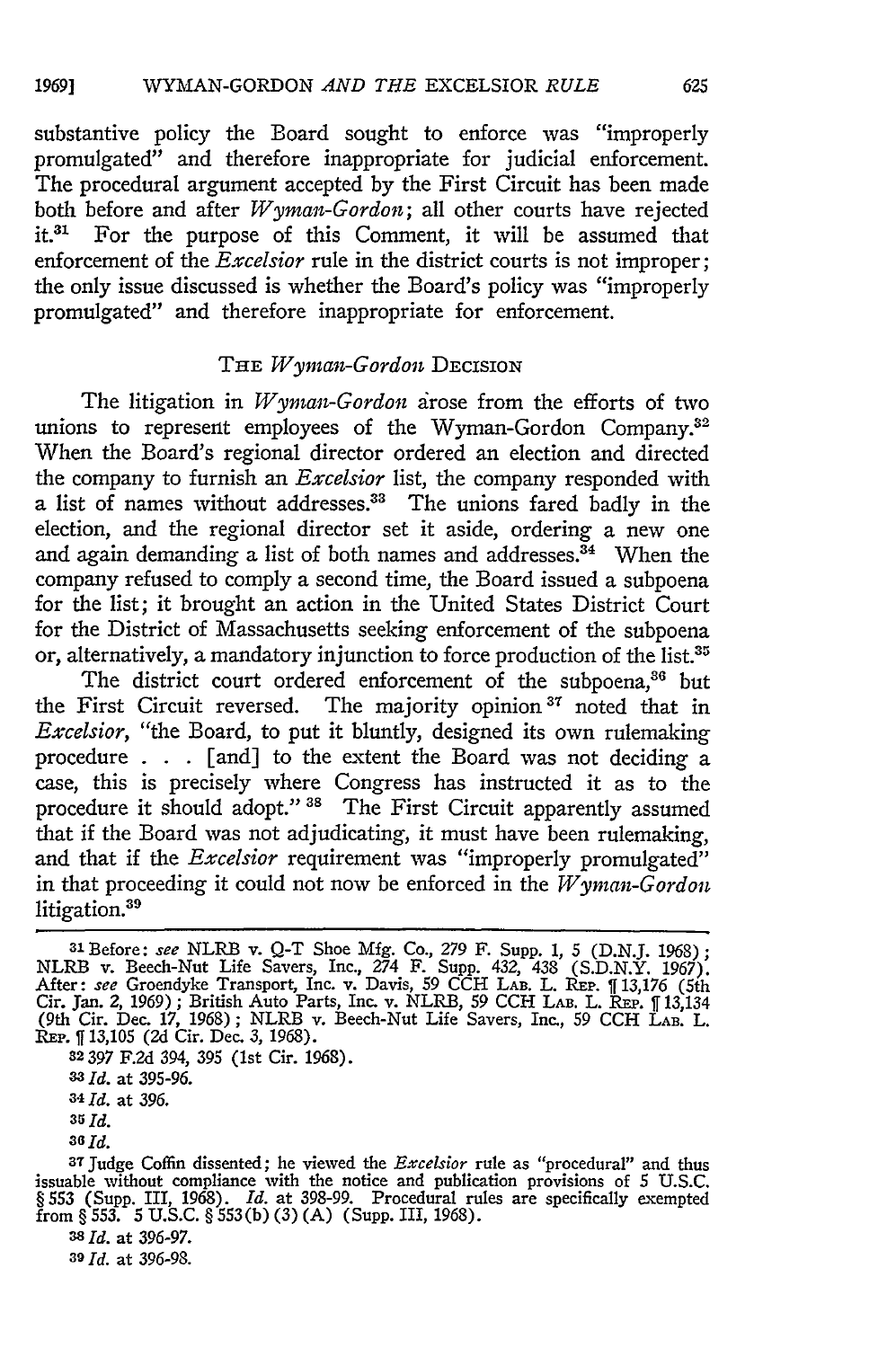substantive policy the Board sought to enforce was "improperly promulgated" and therefore inappropriate for judicial enforcement. The procedural argument accepted by the First Circuit has been made both before and after *Wyman-Gordon;* all other courts have rejected it.<sup>31</sup> For the purpose of this Comment, it will be assumed that enforcement of the *Excelsior* rule in the district courts is not improper; the only issue discussed is whether the Board's policy was "improperly promulgated" and therefore inappropriate for enforcement.

## THE *Wyman-Gordon DECISION*

The litigation in *Wyman-Gordon* irose from the efforts of two unions to represent employees of the Wyman-Gordon Company.<sup>32</sup> When the Board's regional director ordered an election and directed the company to furnish an *Excelsior* list, the company responded with a list of names without addresses.<sup>33</sup> The unions fared badly in the election, and the regional director set it aside, ordering a new one and again demanding a list of both names and addresses.<sup>34</sup> When the company refused to comply a second time, the Board issued a subpoena for the list; it brought an action in the United States District Court for the District of Massachusetts seeking enforcement of the subpoena or, alternatively, a mandatory injunction to force production of the list.<sup>35</sup>

The district court ordered enforcement of the subpoena,<sup>36</sup> but the First Circuit reversed. The majority opinion<sup>37</sup> noted that in *Excelsior,* "the Board, to put it bluntly, designed its own rulemaking procedure . . . [and] to the extent the Board was not deciding a case, this is precisely where Congress has instructed it as to the procedure it should adopt." **38** The First Circuit apparently assumed that if the Board was not adjudicating, it must have been rulemaking, and that if the *Excelsior* requirement was "improperly promulgated" in that proceeding it could not now be enforced in the *Wyman-Gordon* litigation.<sup>39</sup>

**32397** F.2d 394, 395 (1st Cir. 1968).

*<sup>33</sup>Id.* at 395-96.

*34 Id.* at **396.**

**35** *Id.*

*36 Id.*

**<sup>38</sup>***Id.* at **396-97.**

*<sup>39</sup>Id.* at **396-98.**

<sup>31</sup> Before: see NLRB v. Q-T Shoe Mfg. Co., *279* F. Supp. 1, *5* (D.N.J. 1968); NLRB v. Beech-Nut Life Savers, Inc., 274 F. Supp. 432, 438 (S.D.N.Y. 1967)<br>After: *see* Groendyke Transport, Inc. v. Davis, 59 CCH LAB. L. REP. [[13,176 (5th<br>Cir. Jan. 2, 1969); British Auto Parts, Inc. v. NLRB, 59 CCH LAB (9th Cir. Dec. 17, 1968); NLRB v. Beech-Nut Life Savers, Inc., 59 **CCH** LAB. L. REP. **ff** 13,105 (2d Cir. Dec. 3, 1968).

<sup>3</sup>TJudge Coffin dissented; he viewed the *Excelsior* rule as "procedural" and thus issuable without compliance with the notice and publication provisions of **5 U.S.C.** § **553** (Supp. III, **1968).** *Id.* at *398-99.* Procedural rules are specifically exempted from § **553. 5 U.S.C.** § **553(b) (3) (A)** (Supp. III, **1968).**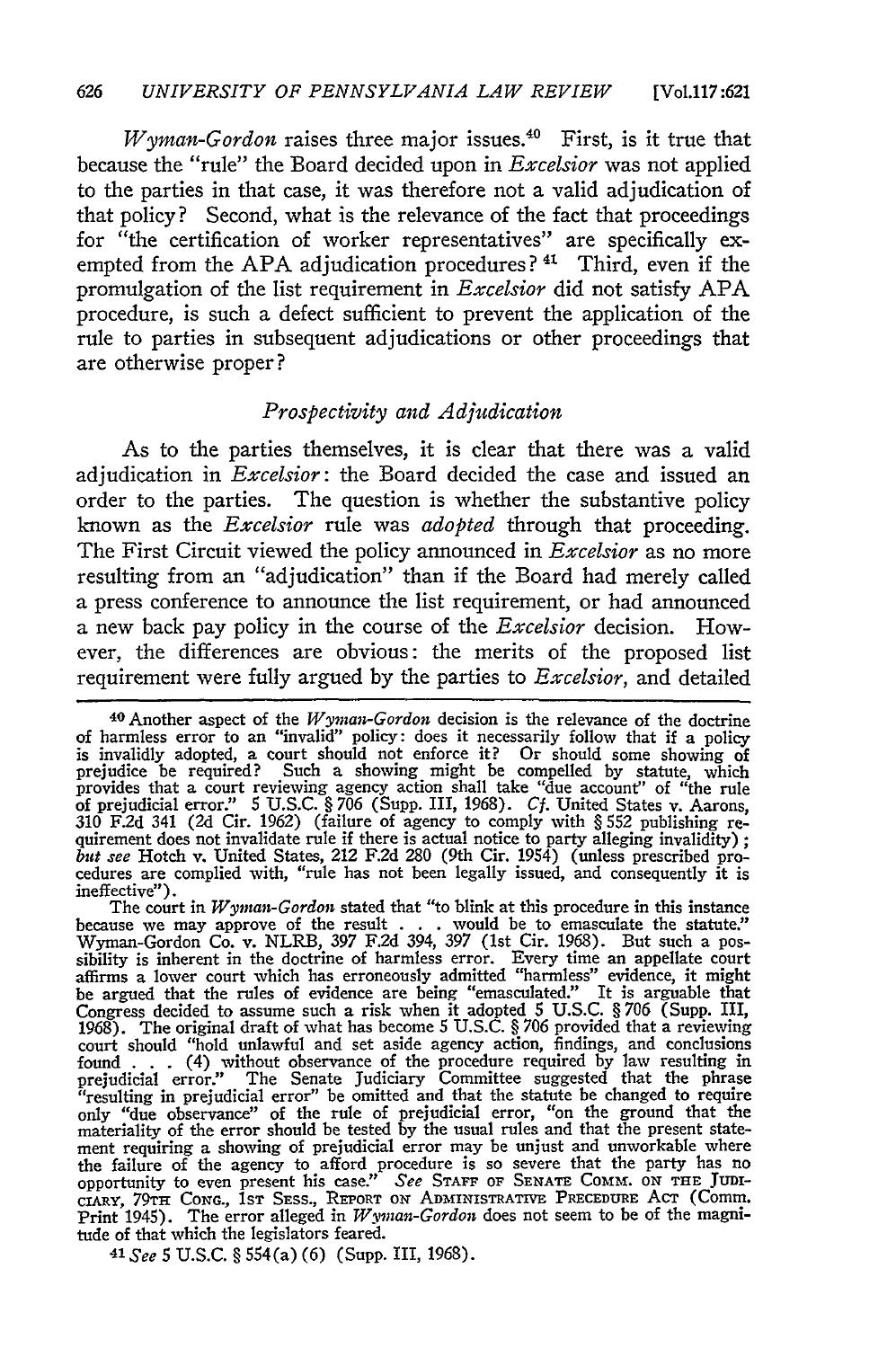*Wyman-Gordon* raises three major issues.<sup>40</sup> First, is it true that because the "rule" the Board decided upon in *Excelsior* was not applied to the parties in that case, it was therefore not a valid adjudication of that policy? Second, what is the relevance of the fact that proceedings for "the certification of worker representatives" are specifically exempted from the APA adjudication procedures?<sup>41</sup> Third, even if the promulgation of the list requirement in *Excelsior* did not satisfy APA procedure, is such a defect sufficient to prevent the application of the rule to parties in subsequent adjudications or other proceedings that are otherwise proper?

## *Prospectivity and Adjudication*

As to the parties themselves, it is clear that there was a valid adjudication in *Excelsior:* the Board decided the case and issued an order to the parties. The question is whether the substantive policy known as the *Excelsior* rule was *adopted* through that proceeding. The First Circuit viewed the policy announced in *Excelsior* as no more resulting from an "adjudication" than if the Board had merely called a press conference to announce the list requirement, or had announced a new back pay policy in the course of the *Excelsior* decision. However, the differences are obvious: the merits of the proposed list requirement were fully argued by the parties to *Excelsior,* and detailed

because we may approve of the result . . . would be to emasculate the statute." Wyman-Gordon Co. v. NLRB, 397 F.2d 394, 397 (1st Cir. 1968). But such a possibility is inherent in the doctrine of harmless error. Every time an appellate court<br>affirms a lower court which has erroneously admitted "harmless" evidence, it might<br>be argued that the rules of evidence are being "emasc Congress decided to assume such a risk when it adopted 5 U.S.C. § 706 (Supp. III, 1968). The original draft of what has become 5 U.S.C. § 706 provided that a reviewing court should "hold unlawful and set aside agency actio found . . . (4) without observance of the procedure required by law resulting in prejudicial error." The Senate Judiciary Committee suggested that the phrase "resulting in prejudicial error" be omitted and that the statute only "due observance" of the rule of prejudicial error, "on the ground that the materiality of the error should be tested by the usual rules and that the present statement requiring a showing of prejudicial error may be unjust and unworkable where the failure of the agency to afford procedure is so severe that the party has no<br>opportunity to even present his case." See STAFF OF SENATE COMM. ON THE JUDI-<br>CIARY, 79TH CONG., IST SESS., REPORT ON ADMINISTRATIVE PRECEDUR *41 See* 5 U.S.C. § 554(a) (6) (Supp. III, 1968).

<sup>40</sup> Another aspect of the *Wyman-Gordon* decision is the relevance of the doctrine of harmless error to an "invalid" policy: does it necessarily follow that if a policy is invalidly adopted, a court should not enforce it? Or should some showing of prejudice be required? Such a showing might be compelled by statute, which provides that a court reviewing agency action shall take "due account" of "the rule of prejudicial error." 5 **U.S.C.** § **706** (Supp. III, **1968).** *Cf.* United States v. Aarons, 310 F.2d 341 (2d Cir. 1962) (failure of agency to comply with § 552 publishing re-<br>quirement does not invalidate rule if there is actual notice to party alleging invalidity); *but* see Hotch v. United States, 212 F.2d 280 (9th Cir. 1954) (unless prescribed pro-cedures are complied with, "rule has not been legally issued, and consequently it is ineffective"). The court in *Wyman-Gordon* stated that "to blink at this procedure in this instance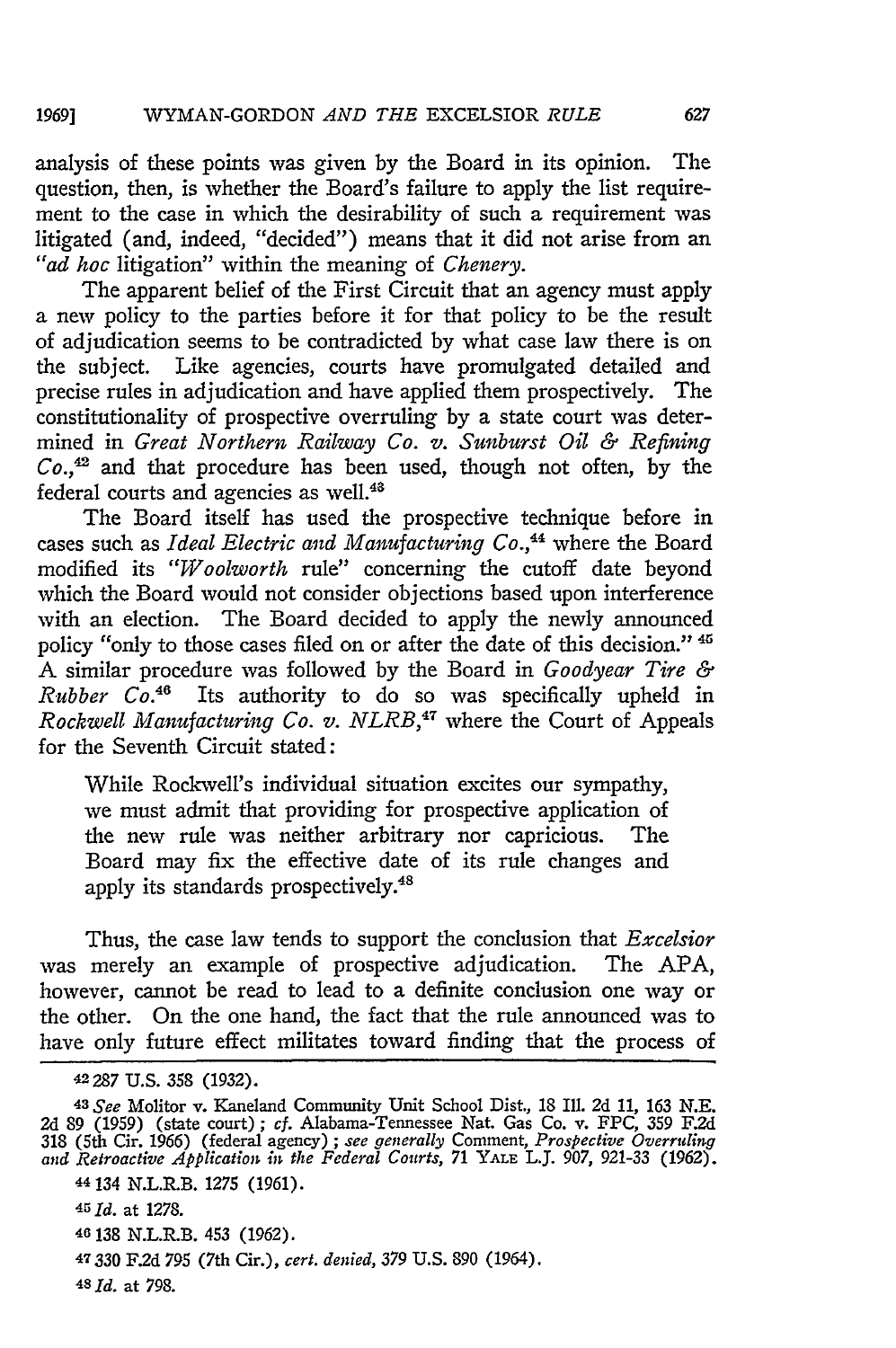#### WYMAN-GORDON *AND THE* EXCELSIOR *RULE 19691*

analysis of these points was given by the Board in its opinion. The question, then, is whether the Board's failure to apply the list requirement to the case in which the desirability of such a requirement was litigated (and, indeed, "decided") means that it did not arise from an *"ad hoc* litigation" within the meaning of *Chenery.*

The apparent belief of the First Circuit that an agency must apply a new policy to the parties before it for that policy to be the result of adjudication seems to be contradicted by what case law there is on the subject. Like agencies, courts have promulgated detailed and precise rules in adjudication and have applied them prospectively. The constitutionality of prospective overruling by a state court was determined in *Great Northern Railway Co. v. Sunburst Oil & Refining*  $Co.,<sup>42</sup>$  and that procedure has been used, though not often, by the federal courts and agencies as well.<sup>44</sup>

The Board itself has used the prospective technique before in cases such as *Ideal Electric and Manufacturing Co.,44* where the Board modified its *"Woolworth* rule" concerning the cutoff date beyond which the Board would not consider objections based upon interference with an election. The Board decided to apply the newly announced policy "only to those cases filed on or after the date of this decision." **'** A similar procedure was followed by the Board in *Goodyear Tire & Rubber Co.46* Its authority to do so was specifically upheld in *Rockwell Manufacturing Co. v. NLRB*,<sup>47</sup> where the Court of Appeals for the Seventh Circuit stated:

While Rockwell's individual situation excites our sympathy, we must admit that providing for prospective application of the new rule was neither arbitrary nor capricious. The Board may fix the effective date of its rule changes and apply its standards prospectively.<sup>48</sup>

Thus, the case law tends to support the conclusion that *Excelsior* was merely an example of prospective adjudication. The APA, however, cannot be read to lead to a definite conclusion one way or the other. On the one hand, the fact that the rule announced was to have only future effect militates toward finding that the process of

*<sup>43</sup> See* Molitor v. Kaneland Community Unit School Dist., 18 Ill. 2d *11,* 163 N.E. 2d 89 (1959) (state court); cf. Alabama-Tennessee Nat. Gas Co. v. FPC, 359 F.2d 318 (5th Cir. 1966) (federal agency); see generally Comment, Prospective Overruling and Retroactive Abblication in the Federal Courts, 71 YALE

44134 N.L.R.B. 1275 (1961).

*451d.* at 1278.

46138 N.L.R.B. 453 (1962).

**47330** F.2d 795 (7th Cir.), *cert. denied, 379* U.S. 890 (1964).

*4SId.* at 798.

627

<sup>42287</sup> U.S. 358 (1932).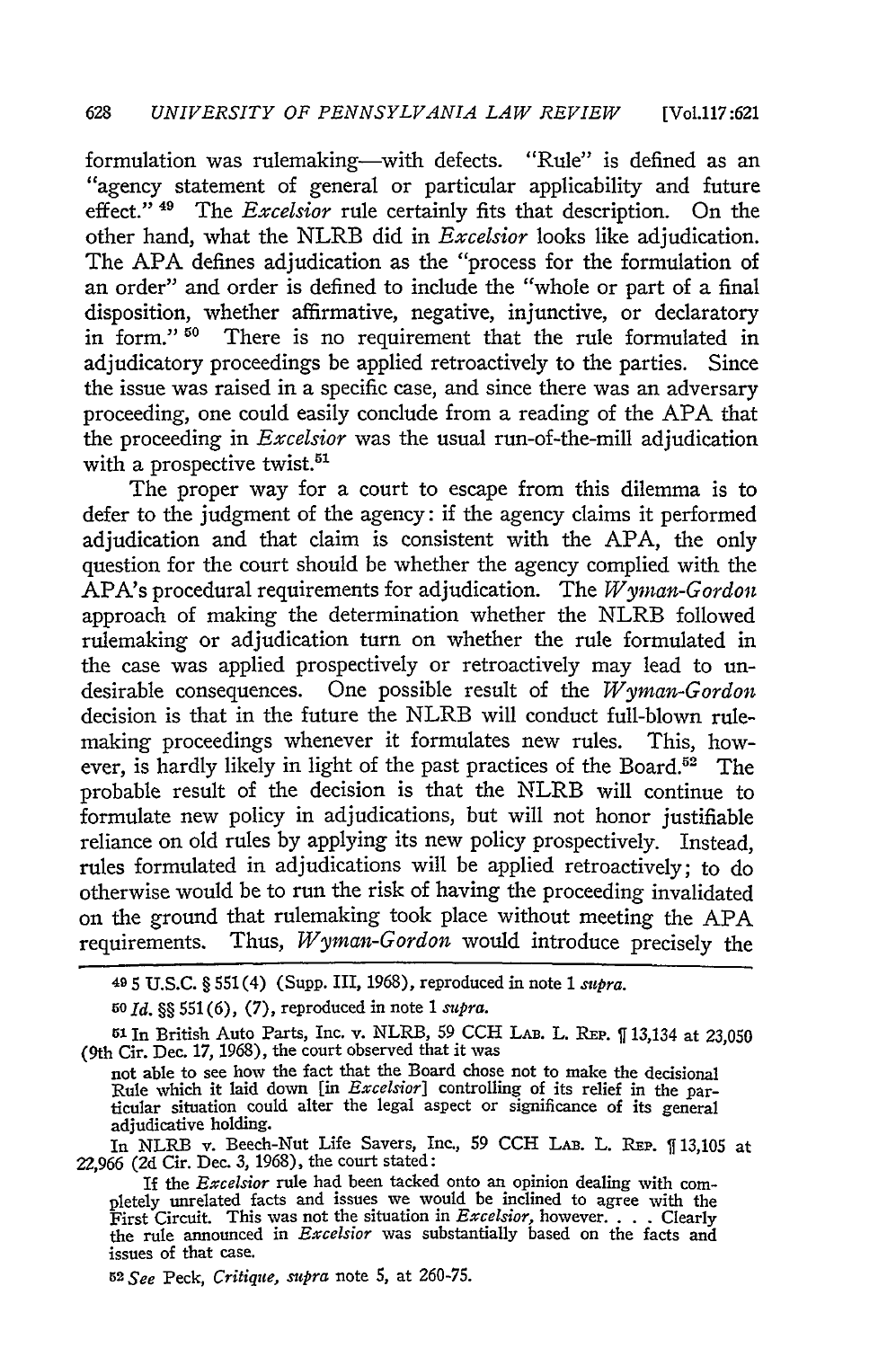formulation was rulemaking—with defects. "Rule" is defined as an "agency statement of general or particular applicability and future effect."<sup>49</sup> The *Excelsior* rule certainly fits that description. On the other hand, what the NLRB did in *Excelsior* looks like adjudication. The APA defines adjudication as the "process for the formulation of an order" and order is defined to include the "whole or part of a final disposition, whether affirmative, negative, injunctive, or declaratory in form."<sup>50</sup> There is no requirement that the rule formulated in adjudicatory proceedings be applied retroactively to the parties. Since the issue was raised in a specific case, and since there was an adversary proceeding, one could easily conclude from a reading of the APA that the proceeding in *Excelsior* was the usual run-of-the-mill adjudication with a prospective twist.<sup>51</sup>

The proper way for a court to escape from this dilemma is to defer to the judgment of the agency: if the agency claims it performed adjudication and that claim is consistent with the APA, the only question for the court should be whether the agency complied with the APA's procedural requirements for adjudication. The *Wyman-Gordon* approach of making the determination whether the NLRB followed rulemaking or adjudication turn on whether the rule formulated in the case was applied prospectively or retroactively may lead to undesirable consequences. One possible result of the *Wyman-Gordon* decision is that in the future the NLRB will conduct full-blown rulemaking proceedings whenever it formulates new rules. This, however, is hardly likely in light of the past practices of the Board.<sup>52</sup> The probable result of the decision is that the NLRB will continue to formulate new policy in adjudications, but will not honor justifiable reliance on old rules by applying its new policy prospectively. Instead, rules formulated in adjudications will be applied retroactively; to do otherwise would be to run the risk of having the proceeding invalidated on the ground that rulemaking took place without meeting the APA requirements. Thus, *Wyman-Gordon* would introduce precisely the

*5o Id. §§* 551 (6), (7), reproduced in note 1 *supra.*

In NLRB v. Beech-Nut Life Savers, Inc., 59 CCH LAB. L. REP. 13,105 at 22,966 (2d Cir. Dec. *3,* 1968), the court stated:

<sup>49</sup>**5** U.S.C. § 551(4) (Supp. III, 1968), reproduced in note 1 *supra.*

<sup>51</sup> In British Auto Parts, Inc. v. NLRB, 59 **CCH** LAB. L. **REP.** 13,134 at 23,050 (9th Cir. Dec. 17, 1968), the court observed that it was

not able to see how the fact that the Board chose not to make the decisional Rule which it laid down [in *Excelsior]* controlling of its relief in the particular situation could alter the legal aspect or significance of its general adjudicative holding.

If the *Excelsior* rule had been tacked onto an opinion dealing with completely unrelated facts and issues we would be inclined to agree with the First Circuit. This was not the situation in *Excelsior,* however. . . Clearly the rule announced in *Excelsior* was substantially based on the facts and issues of that case.

**<sup>52</sup>***See* Peck, *Critique, supra* note 5, at 260-75.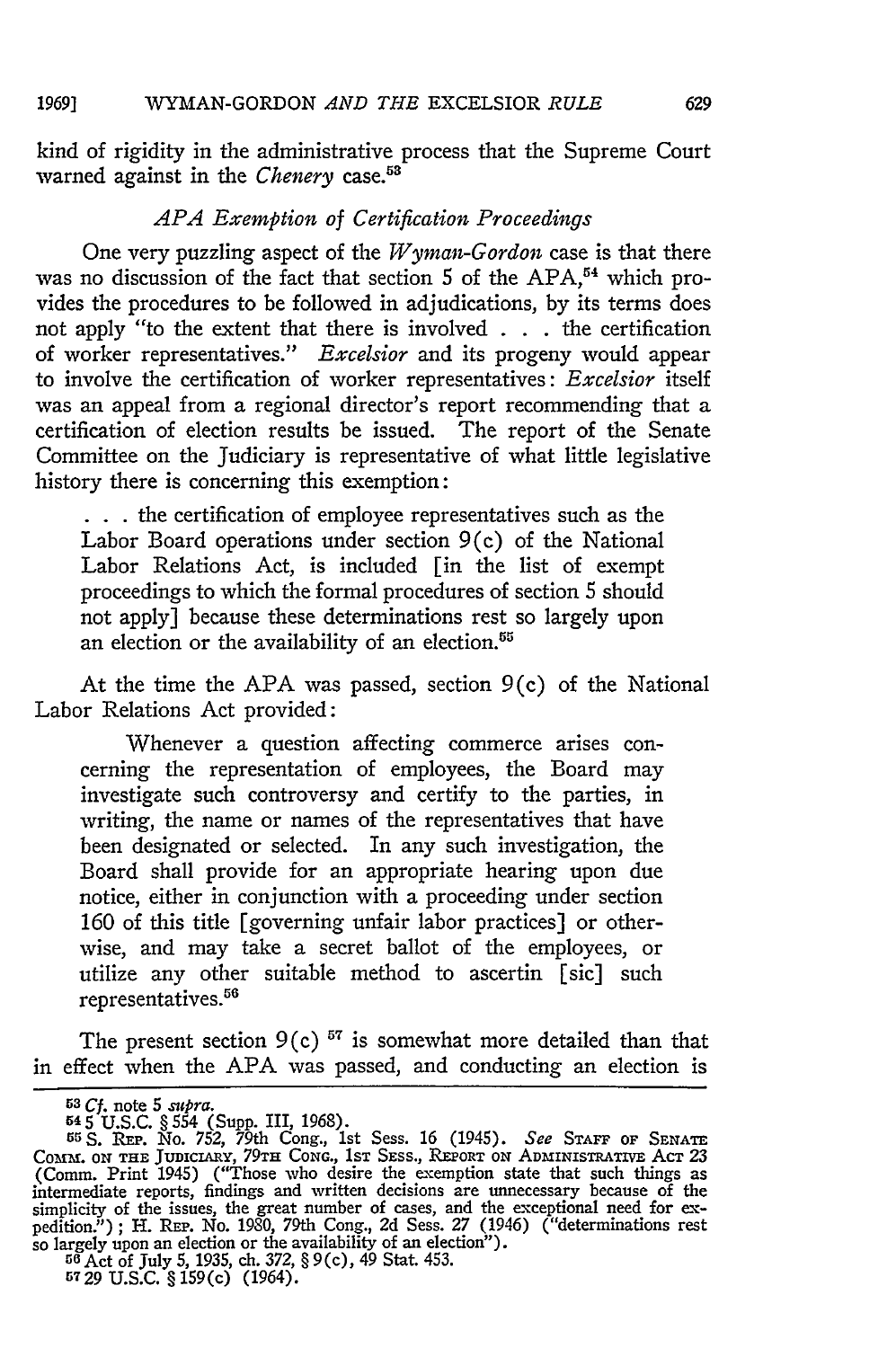kind of rigidity in the administrative process that the Supreme Court warned against in the *Chenery* case.53

## *APA Exemption of Certification Proceedings*

One very puzzling aspect of the *Wyman-Gordon* case is that there was no discussion of the fact that section 5 of the APA,<sup>54</sup> which provides the procedures to be followed in adjudications, **by** its terms does not apply "to the extent that there is involved **. . .** the certification of worker representatives." *Excelsior* and its progeny would appear to involve the certification of worker representatives: *Excelsior* itself was an appeal from a regional director's report recommending that a certification of election results be issued. The report of the Senate Committee on the Judiciary is representative of what little legislative history there is concerning this exemption:

**. . .**the certification of employee representatives such as the Labor Board operations under section 9(c) of the National Labor Relations Act, is included [in the list of exempt proceedings to which the formal procedures of section **5** should not apply] because these determinations rest so largely upon an election or the availability of an election.<sup>55</sup>

At the time the **APA** was passed, section 9(c) of the National Labor Relations Act provided:

Whenever a question affecting commerce arises concerning the representation of employees, the Board may investigate such controversy and certify to the parties, in writing, the name or names of the representatives that have been designated or selected. In any such investigation, the Board shall provide for an appropriate hearing upon due notice, either in conjunction with a proceeding under section 160 of this title [governing unfair labor practices] or otherwise, and may take a secret ballot of the employees, or utilize any other suitable method to ascertin [sic] such representatives.<sup>56</sup>

The present section  $9(c)$ <sup>57</sup> is somewhat more detailed than that in effect when the APA was passed, and conducting an election is

<sup>&</sup>lt;sup>53</sup> Cf. note 5 *subra*.<br>  $545$  U.S.C. § 554 (Supp. III, 1968).<br>  $545$  U.S.C. § 554 (Supp. III, 1968).<br>  $56$  S. REP. No. 752, 79th Cong., 1st Sess. 16 (1945). *See* STAFF OF SENATE<br>
COMM. ON THE JUNICIARY, 79TH CONG., 1ST simplicity of the issues, the great number of cases, and the exceptional need for expedition."); H. REP. No. 1980, 79th Cong., 2d Sess. 27 (1946) ("determinations rest so largely upon an election or the availability of an

**<sup>5729</sup> U.S.C.** § 159(c) (1964).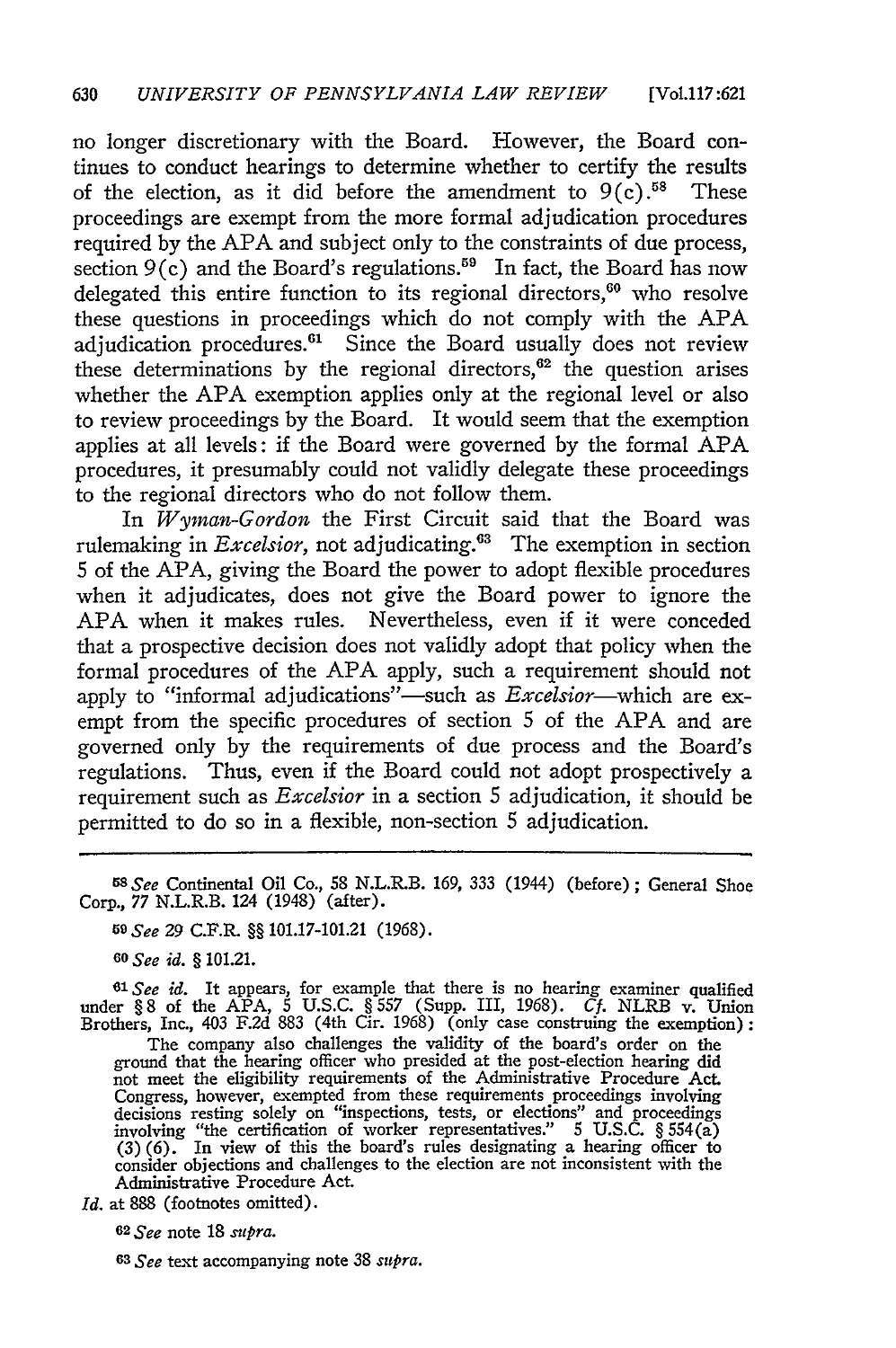no longer discretionary with the Board. However, the Board continues to conduct hearings to determine whether to certify the results of the election, as it did before the amendment to  $9(c)$ .<sup>58</sup> These proceedings are exempt from the more formal adjudication procedures required by the APA and subject only to the constraints of due process, section  $9(c)$  and the Board's regulations.<sup>59</sup> In fact, the Board has now delegated this entire function to its regional directors,<sup>60</sup> who resolve these questions in proceedings which do not comply with the APA adjudication procedures. $61$  Since the Board usually does not review these determinations by the regional directors, $62$  the question arises whether the APA exemption applies only at the regional level or also to review proceedings by the Board. It would seem that the exemption applies at all levels: if the Board were governed by the formal APA procedures, it presumably could not validly delegate these proceedings to the regional directors who do not follow them.

In *Wyman-Gordon* the First Circuit said that the Board was rulemaking in *Excelsior*, not adjudicating.<sup>63</sup> The exemption in section 5 of the APA, giving the Board the power to adopt flexible procedures when it adjudicates, does not give the Board power to ignore the APA when it makes rules. Nevertheless, even if it were conceded that a prospective decision does not validly adopt that policy when the formal procedures of the APA apply, such a requirement should not apply to "informal adjudications"—such as *Excelsior*—which are exempt from the specific procedures of section 5 of the APA and are governed only by the requirements of due process and the Board's regulations. Thus, even if the Board could not adopt prospectively a requirement such as *Excelsior* in a section 5 adjudication, it should be permitted to do so in a flexible, non-section 5 adjudication.

*<sup>58</sup> See* Continental Oil Co., 58 N.L.R.B. 169, 333 (1944) (before); General Shoe Corp., 77 N.L.R.B. 124 (1948) (after).

*59 See* 29 C.F.R. §§ 101.17-101.21 (1968).

*60 See id. §* 101.21.

 $61$ *See id.* It appears, for example that there is no hearing examiner qualified under § 8 of the APA, 5 U.S.C. § 557 (Supp. III, 1968). *Cf.* NLRB v. Union Brothers, Inc., 403 F.2d 883 (4th Cir. 1968) (only case construing the exemption):

The company also challenges the validity of the board's order on the ground that the hearing officer who presided at the post-election hearing did not meet the eligibility requirements of the Administrative Procedure Act. Congress, however, exempted from these requirements proceedings involving decisions resting solely on "inspections, tests, or elections" and proceedings involving "the certification of worker representatives." 5 U.S.C. § 554(a) (3) (6). In view of this the board's rules designating a hearing officer to consider objections and challenges to the election are not inconsistent with the Administrative Procedure Act.

*Id.* at 888 (footnotes omitted).

*<sup>6</sup> 2 See* note 18 *supra.*

*63 See* text accompanying note 38 *supra.*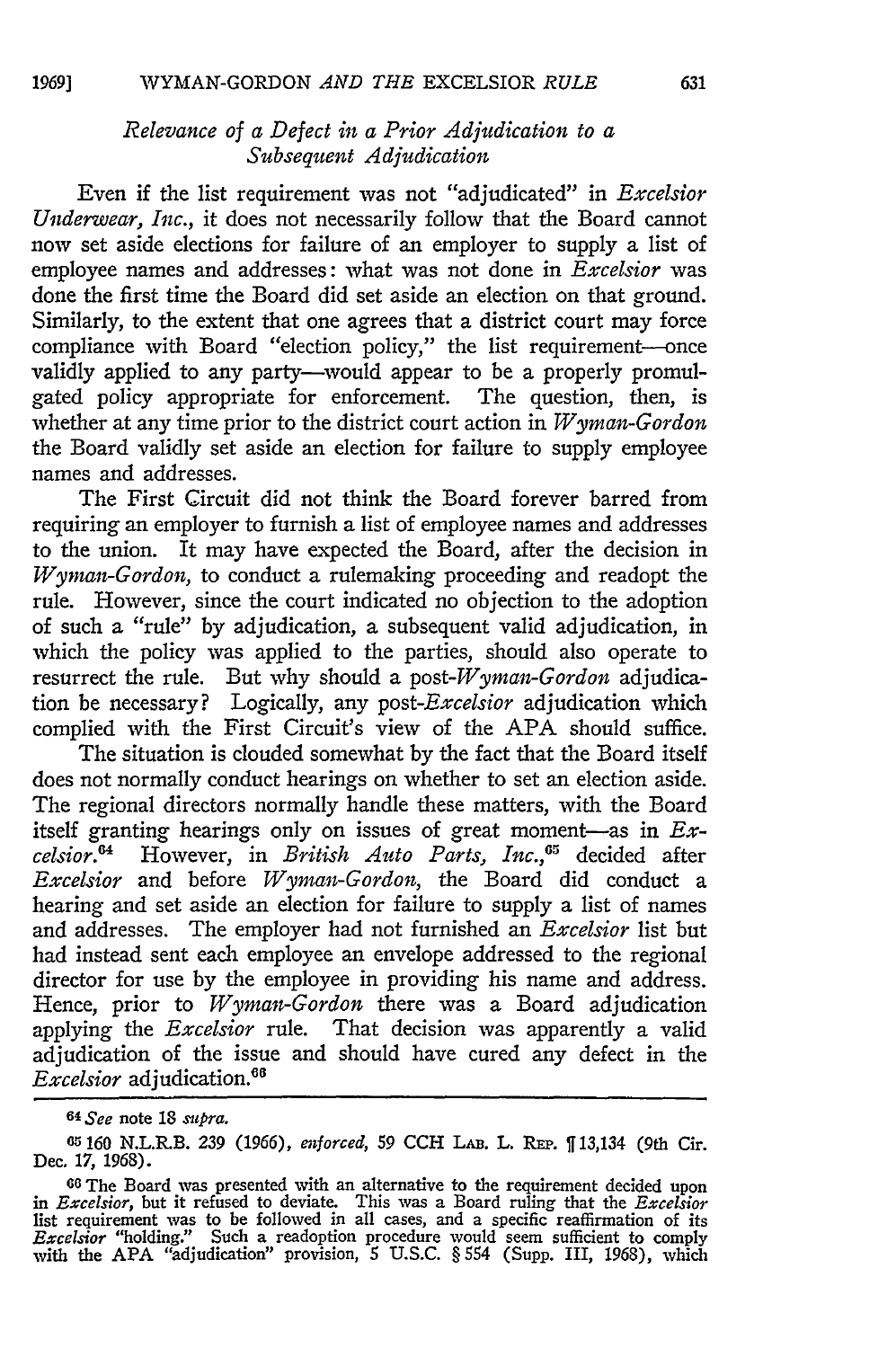# *Relevance of a Defect in a Prior Adjudication to a Subsequent Adjudication*

Even if the list requirement was not "adjudicated" in *Excelsior Underwear, Inc.,* it does not necessarily follow that the Board cannot now set aside elections for failure of an employer to supply a list of employee names and addresses: what was not done in *Excelsior* was done the first time the Board did set aside an election on that ground. Similarly, to the extent that one agrees that a district court may force compliance with Board "election policy," the list requirement-once validly applied to any party-would appear to be a properly promulgated policy appropriate for enforcement. The question, then, is whether at any time prior to the district court action in *Wyman-Gordon* the Board validly set aside an election for failure to supply employee names and addresses.

The First Circuit did not think the Board forever barred from requiring an employer to furnish a list of employee names and addresses to the union. It may have expected the Board, after the decision in *Wyman-Gordon,* to conduct a rulemaking proceeding and readopt the rule. However, since the court indicated no objection to the adoption of such a "rule" by adjudication, a subsequent valid adjudication, in which the policy was applied to the parties, should also operate to resurrect the rule. But why should a *post-Wyman-Gordon* adjudication be necessary? Logically, any *post-Excelsior* adjudication which complied with the First Circuit's view of the APA should suffice.

The situation is clouded somewhat by the fact that the Board itself does not normally conduct hearings on whether to set an election aside. The regional directors normally handle these matters, with the Board itself granting hearings only on issues of great moment-as in *Excelsior.0* However, in *British Auto Parts, Inc.,';* decided after *Excelsior* and before *Wyman-Gordon,* the Board did conduct a hearing and set aside an election for failure to supply a list of names and addresses. The employer had not furnished an *Excelsior* list but had instead sent each employee an envelope addressed to the regional director for use by the employee in providing his name and address. Hence, prior to *Wyman-Gordon* there was a Board adjudication applying the *Excelsior* rule. That decision was apparently a valid adjudication of the issue and should have cured any defect in the Excelsior adjudication.<sup>66</sup>

*<sup>64</sup> See* note 18 *.r.Pra.*

*<sup>65</sup>* 160 N.L.R.B. 239 (1966), enforced, 59 CCH LAB. L. REP.  $\int$  13,134 (9th Cir. Dec. 17, 1968).

**<sup>60</sup>**The Board was presented with an alternative to the requirement decided upon *in Excelsior,* but it refused to deviate. This was a Board ruling that the *Excelsior* list requirement was to be followed in all cases, and a specific reaffirmation of its *Excelsior* "holding." Such a readoption procedure would seem sufficient to comply with the **APA** "adjudication" provision, 5 **U.S.C.** § 554 (Supp. III, 1968), which